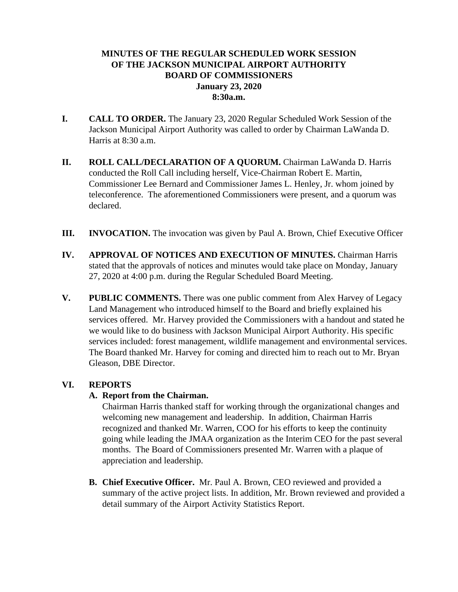# **MINUTES OF THE REGULAR SCHEDULED WORK SESSION OF THE JACKSON MUNICIPAL AIRPORT AUTHORITY BOARD OF COMMISSIONERS January 23, 2020 8:30a.m.**

- **I. CALL TO ORDER.** The January 23, 2020 Regular Scheduled Work Session of the Jackson Municipal Airport Authority was called to order by Chairman LaWanda D. Harris at 8:30 a.m.
- **II. ROLL CALL/DECLARATION OF A QUORUM.** Chairman LaWanda D. Harris conducted the Roll Call including herself, Vice-Chairman Robert E. Martin, Commissioner Lee Bernard and Commissioner James L. Henley, Jr. whom joined by teleconference. The aforementioned Commissioners were present, and a quorum was declared.
- **III. INVOCATION.** The invocation was given by Paul A. Brown, Chief Executive Officer
- **IV. APPROVAL OF NOTICES AND EXECUTION OF MINUTES.** Chairman Harris stated that the approvals of notices and minutes would take place on Monday, January 27, 2020 at 4:00 p.m. during the Regular Scheduled Board Meeting.
- **V. PUBLIC COMMENTS.** There was one public comment from Alex Harvey of Legacy Land Management who introduced himself to the Board and briefly explained his services offered. Mr. Harvey provided the Commissioners with a handout and stated he we would like to do business with Jackson Municipal Airport Authority. His specific services included: forest management, wildlife management and environmental services. The Board thanked Mr. Harvey for coming and directed him to reach out to Mr. Bryan Gleason, DBE Director.

# **VI. REPORTS**

# **A. Report from the Chairman.**

Chairman Harris thanked staff for working through the organizational changes and welcoming new management and leadership. In addition, Chairman Harris recognized and thanked Mr. Warren, COO for his efforts to keep the continuity going while leading the JMAA organization as the Interim CEO for the past several months. The Board of Commissioners presented Mr. Warren with a plaque of appreciation and leadership.

**B. Chief Executive Officer.** Mr. Paul A. Brown, CEO reviewed and provided a summary of the active project lists. In addition, Mr. Brown reviewed and provided a detail summary of the Airport Activity Statistics Report.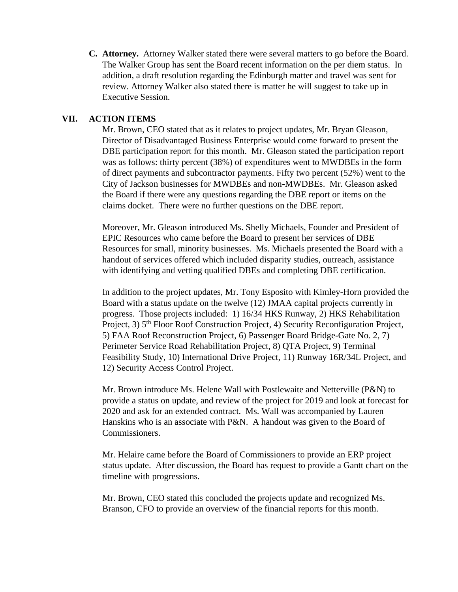**C. Attorney.** Attorney Walker stated there were several matters to go before the Board. The Walker Group has sent the Board recent information on the per diem status. In addition, a draft resolution regarding the Edinburgh matter and travel was sent for review. Attorney Walker also stated there is matter he will suggest to take up in Executive Session.

### **VII. ACTION ITEMS**

Mr. Brown, CEO stated that as it relates to project updates, Mr. Bryan Gleason, Director of Disadvantaged Business Enterprise would come forward to present the DBE participation report for this month. Mr. Gleason stated the participation report was as follows: thirty percent (38%) of expenditures went to MWDBEs in the form of direct payments and subcontractor payments. Fifty two percent (52%) went to the City of Jackson businesses for MWDBEs and non-MWDBEs. Mr. Gleason asked the Board if there were any questions regarding the DBE report or items on the claims docket. There were no further questions on the DBE report.

Moreover, Mr. Gleason introduced Ms. Shelly Michaels, Founder and President of EPIC Resources who came before the Board to present her services of DBE Resources for small, minority businesses. Ms. Michaels presented the Board with a handout of services offered which included disparity studies, outreach, assistance with identifying and vetting qualified DBEs and completing DBE certification.

In addition to the project updates, Mr. Tony Esposito with Kimley-Horn provided the Board with a status update on the twelve (12) JMAA capital projects currently in progress. Those projects included: 1) 16/34 HKS Runway, 2) HKS Rehabilitation Project, 3) 5<sup>th</sup> Floor Roof Construction Project, 4) Security Reconfiguration Project, 5) FAA Roof Reconstruction Project, 6) Passenger Board Bridge-Gate No. 2, 7) Perimeter Service Road Rehabilitation Project, 8) QTA Project, 9) Terminal Feasibility Study, 10) International Drive Project, 11) Runway 16R/34L Project, and 12) Security Access Control Project.

Mr. Brown introduce Ms. Helene Wall with Postlewaite and Netterville (P&N) to provide a status on update, and review of the project for 2019 and look at forecast for 2020 and ask for an extended contract. Ms. Wall was accompanied by Lauren Hanskins who is an associate with P&N. A handout was given to the Board of Commissioners.

Mr. Helaire came before the Board of Commissioners to provide an ERP project status update. After discussion, the Board has request to provide a Gantt chart on the timeline with progressions.

Mr. Brown, CEO stated this concluded the projects update and recognized Ms. Branson, CFO to provide an overview of the financial reports for this month.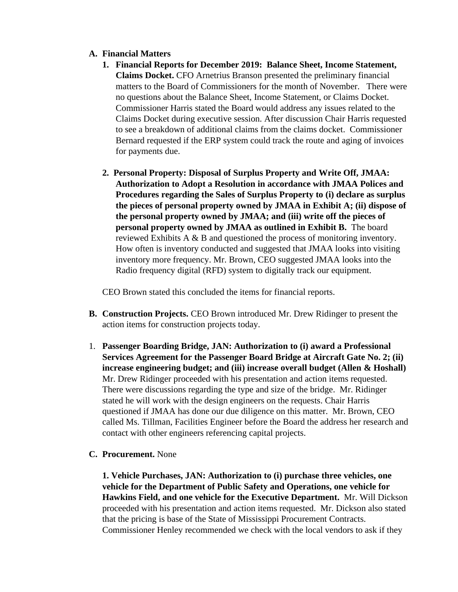### **A. Financial Matters**

- **1. Financial Reports for December 2019: Balance Sheet, Income Statement, Claims Docket.** CFO Arnetrius Branson presented the preliminary financial matters to the Board of Commissioners for the month of November. There were no questions about the Balance Sheet, Income Statement, or Claims Docket. Commissioner Harris stated the Board would address any issues related to the Claims Docket during executive session. After discussion Chair Harris requested to see a breakdown of additional claims from the claims docket. Commissioner Bernard requested if the ERP system could track the route and aging of invoices for payments due.
- **2. Personal Property: Disposal of Surplus Property and Write Off, JMAA: Authorization to Adopt a Resolution in accordance with JMAA Polices and Procedures regarding the Sales of Surplus Property to (i) declare as surplus the pieces of personal property owned by JMAA in Exhibit A; (ii) dispose of the personal property owned by JMAA; and (iii) write off the pieces of personal property owned by JMAA as outlined in Exhibit B.** The board reviewed Exhibits A & B and questioned the process of monitoring inventory. How often is inventory conducted and suggested that JMAA looks into visiting inventory more frequency. Mr. Brown, CEO suggested JMAA looks into the Radio frequency digital (RFD) system to digitally track our equipment.

CEO Brown stated this concluded the items for financial reports.

- **B. Construction Projects.** CEO Brown introduced Mr. Drew Ridinger to present the action items for construction projects today.
- 1. **Passenger Boarding Bridge, JAN: Authorization to (i) award a Professional Services Agreement for the Passenger Board Bridge at Aircraft Gate No. 2; (ii) increase engineering budget; and (iii) increase overall budget (Allen & Hoshall)** Mr. Drew Ridinger proceeded with his presentation and action items requested. There were discussions regarding the type and size of the bridge. Mr. Ridinger stated he will work with the design engineers on the requests. Chair Harris questioned if JMAA has done our due diligence on this matter. Mr. Brown, CEO called Ms. Tillman, Facilities Engineer before the Board the address her research and contact with other engineers referencing capital projects.
- **C. Procurement.** None

**1. Vehicle Purchases, JAN: Authorization to (i) purchase three vehicles, one vehicle for the Department of Public Safety and Operations, one vehicle for Hawkins Field, and one vehicle for the Executive Department.** Mr. Will Dickson proceeded with his presentation and action items requested. Mr. Dickson also stated that the pricing is base of the State of Mississippi Procurement Contracts. Commissioner Henley recommended we check with the local vendors to ask if they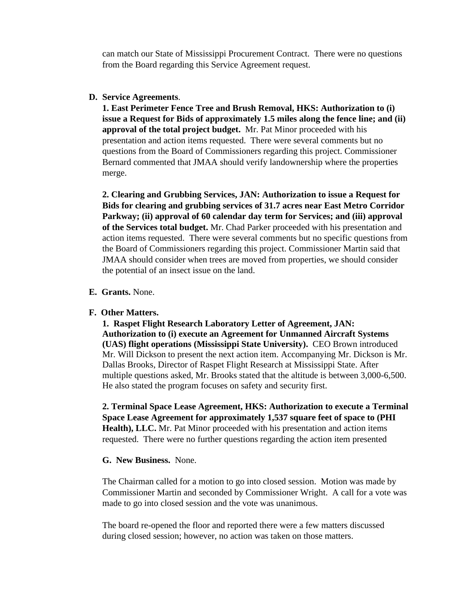can match our State of Mississippi Procurement Contract. There were no questions from the Board regarding this Service Agreement request.

### **D. Service Agreements**.

**1. East Perimeter Fence Tree and Brush Removal, HKS: Authorization to (i) issue a Request for Bids of approximately 1.5 miles along the fence line; and (ii) approval of the total project budget.** Mr. Pat Minor proceeded with his presentation and action items requested. There were several comments but no questions from the Board of Commissioners regarding this project. Commissioner Bernard commented that JMAA should verify landownership where the properties merge.

**2. Clearing and Grubbing Services, JAN: Authorization to issue a Request for Bids for clearing and grubbing services of 31.7 acres near East Metro Corridor Parkway; (ii) approval of 60 calendar day term for Services; and (iii) approval of the Services total budget.** Mr. Chad Parker proceeded with his presentation and action items requested. There were several comments but no specific questions from the Board of Commissioners regarding this project. Commissioner Martin said that JMAA should consider when trees are moved from properties, we should consider the potential of an insect issue on the land.

#### **E. Grants.** None.

#### **F. Other Matters.**

**1. Raspet Flight Research Laboratory Letter of Agreement, JAN: Authorization to (i) execute an Agreement for Unmanned Aircraft Systems (UAS) flight operations (Mississippi State University).** CEO Brown introduced Mr. Will Dickson to present the next action item. Accompanying Mr. Dickson is Mr. Dallas Brooks, Director of Raspet Flight Research at Mississippi State. After multiple questions asked, Mr. Brooks stated that the altitude is between 3,000-6,500. He also stated the program focuses on safety and security first.

**2. Terminal Space Lease Agreement, HKS: Authorization to execute a Terminal Space Lease Agreement for approximately 1,537 square feet of space to (PHI Health), LLC.** Mr. Pat Minor proceeded with his presentation and action items requested. There were no further questions regarding the action item presented

### **G. New Business.** None.

The Chairman called for a motion to go into closed session. Motion was made by Commissioner Martin and seconded by Commissioner Wright. A call for a vote was made to go into closed session and the vote was unanimous.

The board re-opened the floor and reported there were a few matters discussed during closed session; however, no action was taken on those matters.